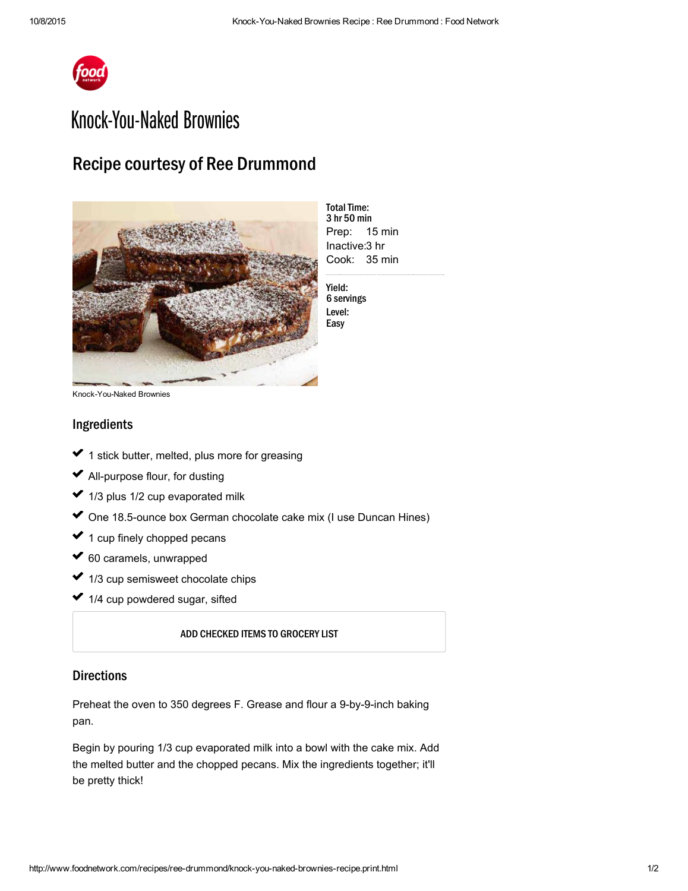

## Knock-You-Naked Brownies

## Recipe courtesy of Ree Drummond



Prep: 15 min Inactive: 3 hr Cook: 35 min **Total Time:** 3 hr 50 min

Yield: 6 servings Level: Easy

Knock-You-Naked Brownies

## Ingredients

- 1 stick [butter](http://www.foodterms.com/encyclopedia/butter/index.html), melted, plus more for greasing usik<br>Sala ✓ ✓
- $\blacktriangleright$  All-purpose flour, for dusting  $\mathcal{L}^{\mathcal{L}}$
- 1/3 plus 1/2 cup evaporated milk ✓ ✓
- One 18.5-ounce box German [chocolate](http://www.foodterms.com/encyclopedia/german-chocolate-cake/index.html) cake mix (I use Duncan Hines) ✓  $\mathcal{L}^{\mathcal{L}}$
- 1 cup finely chopped pecans ✔ 1  $\mathcal{L}^{\mathcal{L}}$
- 60 caramels, unwrapped ✓ ✓
- 1/3 cup [semisweet](http://www.foodterms.com/encyclopedia/chocolate/index.html) chocolate chips ✓  $\sim$
- 1/4 cup [powdered](http://www.foodterms.com/encyclopedia/powdered-sugar/index.html) sugar, sifted ✔ 1

ADD CHECKED ITEMS TO GROCERY LIST

## **Directions**

Preheat the oven to 350 degrees F. [Grease](http://www.foodterms.com/encyclopedia/grease/index.html) and flour a 9-by-9-inch baking pan.

Begin by pouring 1/3 cup evaporated milk into a bowl with the cake mix. Add the melted butter and the chopped pecans. Mix the ingredients together; it'll be pretty thick!